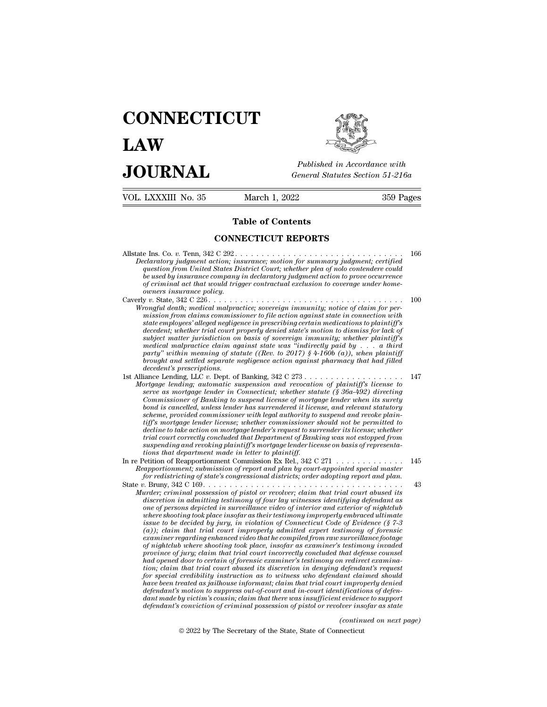## **CONNECTICUT LAW PUBLICE CONNECTICUT**<br> **Published in Accordance with**<br> **JOURNAL** *General Statutes Section 51-216a*<br> **Published in Accordance with** VOL. LXXXIII No. 35 March 1, 2022 359 Pages



Published in A<br>
General Statutes<br>
March 1, 2022<br> **Table of Contents<br>
INECTICUT REPORTS** General Statutes Section<br>
March 1, 2022<br> **Table of Contents<br>
CONNECTICUT REPORTS** 

Allstate Ins. Co. *v.* Tenn, 342 C 292 . . . . . . . . . . . . . . . . . . . . . . . . . . . . . . . . 166 **Table of Contents<br>
CONNECTICUT REPORTS**<br> *Declaratory judgment, certified*<br> *Question from United States District Court; whether plea of nolo contendere could<br>
be used by insurance company in declaratory judgment action t correlate States Courters Courters Courters Courters Courters Courters Courters Courters Courters Courts Courts Courts Courts Courts Courts Courts Courts Courts Courts Courts Courts Courts Courts Courts Courts Courts Cou* **be used by CONNECTICUT REPORTS**<br> **company in the used by insurance company in declaratory judgment action**; insurance; motion for summary judgment; certified<br>
question from United States District Court; whether plea of no **contractual act that CONNECTICUT REPORTS**<br> **of criminal act that would trigger contraction** for summary judgment; certified<br> *question from United States District Court; whether plea of nolo contendere could<br>
be used by i* **CONNECTICUT REPORTS**<br> **originally and SET CONNECTICUT REPORTS**<br> *Declaratory judgment action*; *insurance*; *motion for summary judgment*; *certified*<br> *question from United States District Court; whether plea of nolo con* Allstate Ins. Co. v. Tenn, 342 C 292.<br> *Declaratory judgment action, insurance, motion for summary judgment, certified*<br> *question from United States District Court, whether plea of nolo contendere could*<br> *be used by insu Mecharatory judgment action, insurance; motion for summary judgment; certified* question from United States District Court; whether plea of noto contendere could be used by insurance company in declaratory judgment action *carrutory juagment action; insurance; motion for summary juagment; certified*<br>question from United States District Court; whether plea of nolo contendere could<br>be used by insurance company in declaratory judgment action t *guestion from United Sidies District Court; whener pied 0f noto contendere could*<br>*be used by insurance company in declaratory judgment action to prove occurrence*<br>*of criminal act that would trigger contractual exclusion* 

*decedent; whether trial court properly denied state's motion to dismiss for lack of sy criminal act that would trigger contractual exclusion to coverage under nome-<br>owners insurance policy.*<br> $y$   $v$ . State, 342 C 226  $\ldots$   $\ldots$   $\ldots$   $\ldots$   $\ldots$   $\ldots$   $\ldots$   $\ldots$   $\ldots$   $\ldots$   $\ldots$   $\ldots$   $\ldots$   $\ldots$   $\ldots$ *medical malpractice claim against state was ''indirectly paid by . . . a third party'' within meaning of statute ((Rev. to 2017) § 4-160b (a)), when plaintiff becommongul death; medical malpractice; sovereign immunity; notice of claim for permission from claims commissioner to file action against state in connection with state employees' alleged negligence in prescribing certai* mission from claims commiss<br>state employees' alleged neglige<br>decedent; whether trial court p<br>subject matter jurisdiction on<br>medical malpractice claim ag<br>party" within meaning of sta<br>brought and settled separate n<br>decedent' Suce empuyes anegat negligence in pescribing certain meatical ons to partial decedent; whether trial court properly denied state's motion to dismiss for lack of subject matter jurisdiction on basis of sovereign immunity; w *Mortgage lending; antennation on basis of soverign immunitig; whether plaintiff's*<br> *Moject matter jurisdiction on basis of soverign immunity; whether plaintiff's*<br> *Mortgage lending*, LLC v. Dept. of Banking, 342 C 273 .

*suoject matter jurisation on basis of sovereign immunity; whether pairntyf is medical malpractice leaim against state was "indirectity paid by ... a third party" within meaning of statute ((Rev. to 2017) § 4-160b (a)), wh Commissioner and practice claim against state was 'indirecty paid by ... a third* party'' within meaning of statute ((Rev. to 2017) § 4-160b (a)), when plaintiff brought and settled separate negligence action against pha party within meaning of statute ((nev. to 2017) § 4-1000 (a)), when paintiff) and settled spreadent's prescriptions.<br>decedent's prescriptions.<br>iance Lending, LLC v. Dept. of Banking, 342 C 273 . . . . . . . . . . . . . . . *scheme, provided commissioner with legal authority to suspend and revoke plaintiff the mortgage lender in Commissioner and revocation of plaintiff's license to*<br>prigge lending; automatic suspension and revocation of plaintiff's license to<br>serve as mortgage lender in Connecticut; whether statute (§ *decline to take action on mortgage lender's request to surrender its license; whether trigage lending; automatic suspension and revocation of plaintiff's license to*<br>*serve as mortgage lender in Connecticut; whether statute (§ 36a-492) directing<br>Commissioner of Banking to suspend license of mortgage lender Commissioner of Banking to suspend license of mortgage lender when its surety bond is cancelled, unless lender has surrendered it license, and relevant statutory scheme, provided commissioner with legal authority to suspe* Commissioner of Banking to suspend license of mortgo<br>bond is cancelled, unless lender has surrendered it licen<br>scheme, provided commissioner with legal authority to<br>tiff's mortgage lender license; whether commissioner s<br>de For a stance detail and secure the star end of the commission of the commission of the star of scheme is scheme<br>
tiff's mortgage lender license; whether commissioner should not be permitted to<br>
decline to take action on mo *Reapportionment; submissioner with tegal antinority to suspend and revoke platities*<br>*Reporting a lender license; whether commissioner should not be permitted to*<br>*decline to take action on mortgage lender's request to su* Final court correctly concluded that Department of Banking was not estopped from<br>trial court correctly concluded that Department of Banking was not estopped from<br>suspending and revoking plaintiff's mortgage lender license

*for redistricting of state's congressional districts; order adopting report and plan.*<br>*for redistricting of state's congressional districts; order adopting report and plan.*<br>**State** v. Bruny, 342 C 169. . . . . . . . . .

*Murder; criminal possession of pistol or revolution of Bullating and revolving plaintiff's mortgage lender license on basis of representations that department made in letter to plaintiff.*<br>
Petition of Reapportionment Com *dispending that tectiony pathums shoulge tends in the instantant and department made in letter to plaintiff.*<br>  $\theta$  bettion of Reapportionment Commission Ex Rel., 342 C 271  $\ldots$ ,  $\ldots$ ,  $\ldots$ ,  $\ldots$ ,  $\ldots$ ,  $\ldots$ ,  $\ldots$ , *Cons duality and metalliniar in telliniary one of the minission of Reaportionment; submission of report and plan by court-appointed special master for redistricting of state's congressional districts; order adopting rep* Fullion of Reapportionment Commission Ex Rel.,  $342 \times 211 \times \ldots \times 1145$ <br> *apportionment*; submission of report and plan by court-appointed special master<br> *for redistricting of state's congressional districtions* order ado *is upportunment; summssum of report and plan of court-appointed special master*<br>*ion redistricting of state's congressional districts; order adopting report and plan.*<br> $\ldots$   $\ldots$   $\ldots$ <br> $\ldots$   $\ldots$   $\ldots$   $\ldots$   $\ldots$   $\ldots$ *(a)*  $R$ ); and  $R$  is compressional attents; order adopting report and pair.<br>*(a)*  $R$ ); criminal possession of pistol or revolver; claim that trial court abused its<br>discretion in admitting testimony of four lay witnesse *examing that that independent increases in that trial court abused its*<br>*example; criminal possession of pistol or revolver; claim that trial court abused its*<br>*one of persons depicted in surveillance video of interior an of nightclub where shooting testimony of pure for revolver; claim that trial court abused its* discretion in admitting testimony of four lay witnesses identifying defendant as one of persons depicted in surveillance video *discretion in admitting testimony of four lay witnesses identifying defendant as*<br> *province shooting took place insofar as their testimony improperly embraced ultimate<br>
where shooting took place insofar as their testimon* one of persons depicted in surveillance video of interior and exterior of inghicular<br>where shooting took place insofar as their testimony improperly embraced ultimate<br> $f$ (a)); claim-that trial court-improperly admitted cap *tion; claim took place insofar as their testimony improperty embraced ultimate* issue to be decided by jury, in violation of Connecticut Code of Evidence (§ 7-3 (a)); claim that trial court inproperty admitted expert test *for special credit and countrinary in violation of Connecticut Code of Evidence (§ 7-3* (a)); claim that trial court improperly admitted expert testimony of forensic examiner regarding enhanced video that he compiled from (a)); claim that trial court improperly admitted expert testimony of forensic examiner regarding enhanced video that he compiled from raw surveillance footage propine of pightclub where shooting took place, insofar as exam examiner regarding enhanced video that he compiled from raw surveillance footage<br>of nightclub where shooting took place, insofar as examiner's testimony invaded<br>province of jury; claim that trial court incorrectly conclude *dantial where shooting took place, insofar as examiner's testimony invaded* province of jury; claim that trial court incorrectly concluded that defense counsel-<br>had opened door to certain of forensic examiner's testimony *defendant's convinity claim that trial court incorrectly concluded that defense counsel*<br>had opened door to certain of forensic examiner's testimony on redirect examina-<br>tion; claim that trial court abused its discretion *defendant's request<br>ant claimed should<br>tifications of defentived<br>tifications of defentive in evidence to support<br>lver insofar as state<br>(continued on next page)*<br>necticut  $\vec{r}$  reductions we denote a solution of the section of the section of erated as jointly in the  $\vec{r}$  readed as jointly in the secretary of the State of Connecticution of criminal possession of pistol or revolver inse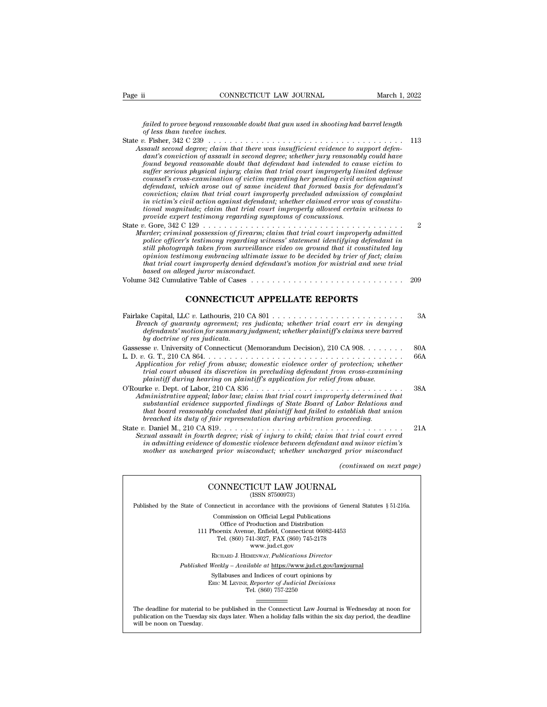*failed to prove beyond reasonable doubt that gun used in shooting had barrel length*<br>*failed to prove beyond reasonable doubt that gun used in shooting had barrel length*<br>*f Fi*char, 242, C 220 *c o o coal*<br>*failed to prove beyond reasonable for less than twelve inches.*<br>*b c* **inches.**<br>*c* **interpretation that** 

- State *v.* Fisher, 342 C 239 . . . . . . . . . . . . . . . . . . . . . . . . . . . . . . . . . . . . . <sup>113</sup> Page ii CONNECTICUT LAW JOURNAL March 1, 2022<br> *Assault second reasonable doubt that gun used in shooting had barrel length*<br> *Assault second degree; claim that there was insufficient evidence to support defen-*<br> *Assault dailed to prove beyond reasonable doubt that gun used in shooting had barrel length*<br>of less than twelve inches.<br> *dant's conviction of assault in second degree; whether widence to support defendant's conviction of assaul found beyond reasonable doubt that defendant had intended to cause victim to suffer serious physical injury; claim that trial court improperly limited defense counsel's cross-examination of victim regarding her pending civil action against definited matrice incluses*<br>*definites arostyle complement arostyle arostyle defendant's completed degree; chaim that there was insufficient evidence to support defendant's conviction of assault in second degree; whether cond degree; claim that there was insufficient evidence to support defendant's conviction of assault in second degree; whether jury reasonably could have dant's conviction of assault in second degree; whether jury reasona is ault second degree; claim that there was insufficient evidence to support defendant's conviction of assault in second degree; whether jury reasonably could have found beyond reasonable doubt that defendant had intended* dant's convection of assault in second degree; whether jury reasonably could have<br>found beyond reasonable doubt that defendant had intended to cause victim to<br>suffer serious physical injury; claim that trial court improper found beyond reasonable doubt that defendant had intended to causes  $\frac{p}{p}$  seros physical injury; claim that trial court improperly lindefendant, which arose out of same incident that formed basis for defendant, which a State *v*. Gore, 342 C 129<br> *Goreon supersolution of victim regarding her pending civil action against*<br> *defendant, which arose out of same incident that formed basis for defendant's*<br> *conviction, claim that trial court Murder; criminal possession of firearm; claim tegating ter penality conviction; claim that trial court improperly precluded admission of complaint* in victim's civil action against defendant; whether claimed ensis for def *policiality, which areas out of same incluent indigremation of complements conviction; claim that trial court improperly precluded admission of complement in victim's civil action against defendant; whether claimed error*
- *stimula, calin take is taken from surveillance is pecudial damission of computinity civilinity civil action against defendant; whether claimed error was of constitutional magnitude; claim that trial court improperly allow opinion testimonia walthat dependant, whener culmed error was of constructional magnitude; claim that trial court improperly allowed certain witness to provide expert testimony regarding symptoms of concussions.*<br> *o*, Go *tional magnitude; claim that trial court improperly allowed certain witness to*<br> *provide expert testimony regarding symptoms of concussions.*<br> *Aurder; criminal possession of firearm; claim that trial court improperly ad based on alleged juror misconduct.* Volume 342 Cumulative Table of Cases . . . . . . . . . . . . . . . . . . . . . . . . . . . . . <sup>209</sup> al possession of firearm; claim that trial court improperty admitted<br>'s testimony regarding witness' statement identifying defendant in<br>ph taken from surveillance video on ground that it constituted lay<br>mony embracing ulti

| that trial court improperly denied defendant's motion for mistrial and new trial<br>based on alleged juror misconduct.                                                                                                                                                                                                               |     |
|--------------------------------------------------------------------------------------------------------------------------------------------------------------------------------------------------------------------------------------------------------------------------------------------------------------------------------------|-----|
|                                                                                                                                                                                                                                                                                                                                      | 209 |
| <b>CONNECTICUT APPELLATE REPORTS</b>                                                                                                                                                                                                                                                                                                 |     |
| Breach of guaranty agreement; res judicata; whether trial court err in denying<br>defendants' motion for summary judgment; whether plaintiff's claims were barred<br>by doctrine of res judicata.                                                                                                                                    | 3A  |
| Gassesse v. University of Connecticut (Memorandum Decision), 210 CA 908.                                                                                                                                                                                                                                                             | 80A |
| Application for relief from abuse; domestic violence order of protection; whether<br>trial court abused its discretion in precluding defendant from cross-examining<br>plaintiff during hearing on plaintiff's application for relief from abuse.                                                                                    | 66A |
| Administrative appeal; labor law; claim that trial court improperly determined that<br>substantial evidence supported findings of State Board of Labor Relations and<br>that board reasonably concluded that plaintiff had failed to establish that union<br>breached its duty of fair representation during arbitration proceeding. | 38A |
| Sexual assault in fourth degree; risk of injury to child; claim that trial court erred<br>in admitting evidence of domestic violence between defendant and minor victim's<br>mother as uncharged prior misconduct; whether uncharged prior misconduct                                                                                | 21A |
| (continued on next page)                                                                                                                                                                                                                                                                                                             |     |
| CONNECTICUT LAW JOURNAL<br>(ISSN 87500973)                                                                                                                                                                                                                                                                                           |     |
| Published by the State of Connecticut in accordance with the provisions of General Statutes § 51-216a.                                                                                                                                                                                                                               |     |

# $\label{eq:nonlinear} \begin{aligned} \textit{mother as uncharged prior misonduct; whether uncharged prior misonduct} \\ \textit{(continued on next} \\ \textit{CONNECTICUT LAW JOURNAL} \\ \textit{(ISSN 87500973)} \end{aligned}$

Published by the State of Connecticut in accordance with the provisions of General Statutes § 51-216a. CONNECTICUT LAW JOURNAL<br>
(ISSN 87500973)<br>
inecticut in accordance with the provisions of Gener<br>
Commission on Official Legal Publications<br>
Office of Production and Distribution<br>
office of Production and Distribution **NNECTICUT LAW JOURNAL**<br>
(ISSN 87500973)<br>
cticut in accordance with the provisions of Gener<br>
mmission on Official Legal Publications<br>
Office of Production and Distribution<br>
centra Avenue, Enfield, Connecticut 06082-4453<br>
b CONNECTICUT LAW JOURNAL<br>
(ISSN 87500973)<br>
of Connecticut in accordance with the provisions of General Statu<br>
Commission on Official Legal Publications<br>
Office of Production and Distribution<br>
111 Phoenix Avenue, Enfield, Co (ISSN 87500973)<br>ecticut in accordance with the provisions of Gener<br>ommission on Official Legal Publications<br>Office of Production and Distribution<br>oenix Avenue, Enfield, Connecticut 06082-4453<br>Tel. (860) 741-3027, FAX (860 reordance with the provision<br>on Official Legal Publication<br>roduction and Distribution<br>e, Enfield, Connecticut 06<br>11-3027, FAX (860) 745-217<br>www.jud.ct.gov<br>zenway, *Publications Dire* Rommission on Official Legal Publications<br>
Office of Production and Distribution<br>
Phoenix Avenue, Enfield, Connecticut 06082-4453<br>
Tel. (860) 741-3027, FAX (860) 745-2178<br>
www.jud.ct.gov<br>
RICHARD J. HEMENWAY, Publications Office of Production and Distribution<br>
111 Phoenix Avenue, Enfield, Connecticut 06082-4453<br>
Tel. (860) 741-3027, FAX (860) 745-2178<br>
www.jud.ct.gov<br>
RICHARD J. HEMENWAY, *Publications Director*<br> *Published Weekly – Availab* 

Phoenix Avenue, Enfield, Connecticut 06082-4453<br>
Tel. (860) 741-3027, FAX (860) 745-2178<br>
www.jud.ct.gov<br>
RICHARD J. HEMENWAY, *Publications Director*<br>
Weekly – Available at <u>https://www.jud.ct.gov/lawjourna</u><br>
Syllabuses a  $\begin{array}{c} \text{www. judc.t.gov} \\ \text{RICHARD J. HEMENTARY, *Publications Director} \\ \text{Weekly -- Available at \textit{https://www.jud.c.t.gov/}} \\ \text{Syllabuses and Indices of court opinions by} \\ \text{Enc M. Lewis, *Reporter of Judicial Decisions* Tel. (860) 757-2250 \end{array}*$ 

Published Weekly – Available at https://www.jud.ct.gov/lawjournal<br>Syllabuses and Indices of court opinions by<br>ERIC M. LEVINE, Reporter of Judicial Decisions<br>The deadline for material to be published in the Connecticut Law  $\begin{tabular}{l} \bf Syllabuses\ and\ Indices\ of\ court\ opinions\ by\\ \bf Enc\ M.\ LevINE,\ \textit{Reporter of\ Judicial\ Decisions}\\ \bf Tel.\ (860)\ 757-2250\\ \end{tabular}$  <br> The deadline for material to be published in the Connecticut Law Journal is Wednesday at noon for publication on the Tuesday six days later The deadline for material<br>publication on the Tuesday.<br>will be noon on Tuesday.